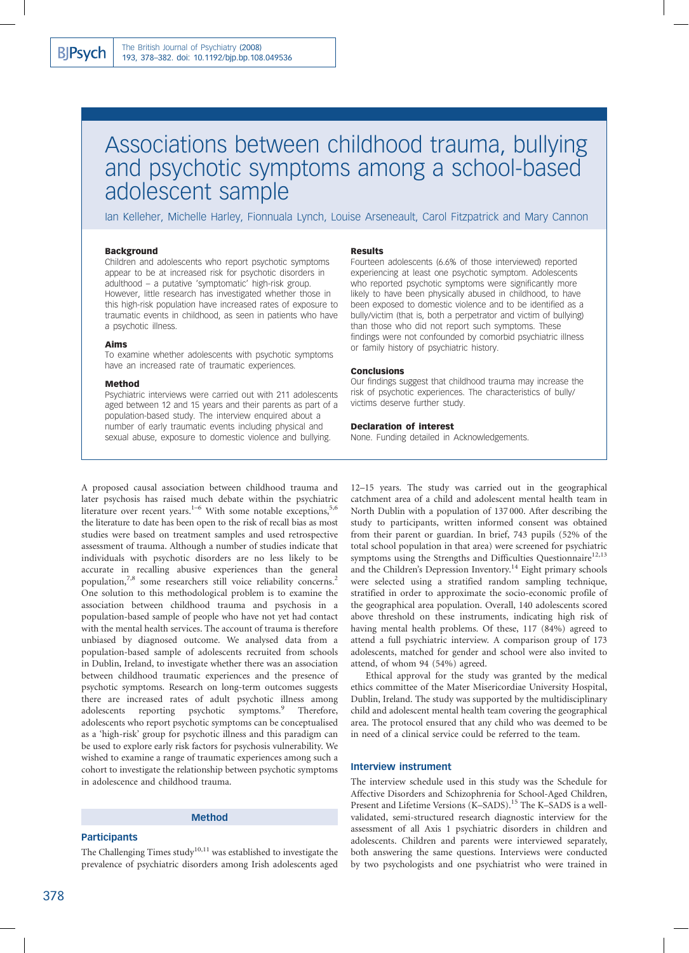# Associations between childhood trauma, bullying and psychotic symptoms among a school-based adolescent sample

Ian Kelleher, Michelle Harley, Fionnuala Lynch, Louise Arseneault, Carol Fitzpatrick and Mary Cannon

## Background

Children and adolescents who report psychotic symptoms appear to be at increased risk for psychotic disorders in adulthood – a putative 'symptomatic' high-risk group. However, little research has investigated whether those in this high-risk population have increased rates of exposure to traumatic events in childhood, as seen in patients who have a psychotic illness.

#### Aims

To examine whether adolescents with psychotic symptoms have an increased rate of traumatic experiences.

#### Method

Psychiatric interviews were carried out with 211 adolescents aged between 12 and 15 years and their parents as part of a population-based study. The interview enquired about a number of early traumatic events including physical and sexual abuse, exposure to domestic violence and bullying.

#### Results

Fourteen adolescents (6.6% of those interviewed) reported experiencing at least one psychotic symptom. Adolescents who reported psychotic symptoms were significantly more likely to have been physically abused in childhood, to have been exposed to domestic violence and to be identified as a bully/victim (that is, both a perpetrator and victim of bullying) than those who did not report such symptoms. These findings were not confounded by comorbid psychiatric illness or family history of psychiatric history.

## Conclusions

Our findings suggest that childhood trauma may increase the risk of psychotic experiences. The characteristics of bully/ victims deserve further study.

# Declaration of interest

None. Funding detailed in Acknowledgements.

A proposed causal association between childhood trauma and later psychosis has raised much debate within the psychiatric literature over recent years.<sup>1–6</sup> With some notable exceptions,<sup>5,6</sup> the literature to date has been open to the risk of recall bias as most studies were based on treatment samples and used retrospective assessment of trauma. Although a number of studies indicate that individuals with psychotic disorders are no less likely to be accurate in recalling abusive experiences than the general population,<sup>7,8</sup> some researchers still voice reliability concerns.<sup>2</sup> One solution to this methodological problem is to examine the association between childhood trauma and psychosis in a population-based sample of people who have not yet had contact with the mental health services. The account of trauma is therefore unbiased by diagnosed outcome. We analysed data from a population-based sample of adolescents recruited from schools in Dublin, Ireland, to investigate whether there was an association between childhood traumatic experiences and the presence of psychotic symptoms. Research on long-term outcomes suggests there are increased rates of adult psychotic illness among adolescents reporting psychotic symptoms.<sup>9</sup> Therefore, adolescents who report psychotic symptoms can be conceptualised as a 'high-risk' group for psychotic illness and this paradigm can be used to explore early risk factors for psychosis vulnerability. We wished to examine a range of traumatic experiences among such a cohort to investigate the relationship between psychotic symptoms in adolescence and childhood trauma.

# Method

## **Participants**

The Challenging Times study<sup>10,11</sup> was established to investigate the prevalence of psychiatric disorders among Irish adolescents aged

12–15 years. The study was carried out in the geographical catchment area of a child and adolescent mental health team in North Dublin with a population of 137 000. After describing the study to participants, written informed consent was obtained from their parent or guardian. In brief, 743 pupils (52% of the total school population in that area) were screened for psychiatric symptoms using the Strengths and Difficulties Questionnaire<sup>12,13</sup> and the Children's Depression Inventory.<sup>14</sup> Eight primary schools were selected using a stratified random sampling technique, stratified in order to approximate the socio-economic profile of the geographical area population. Overall, 140 adolescents scored above threshold on these instruments, indicating high risk of having mental health problems. Of these, 117 (84%) agreed to attend a full psychiatric interview. A comparison group of 173 adolescents, matched for gender and school were also invited to attend, of whom 94 (54%) agreed.

Ethical approval for the study was granted by the medical ethics committee of the Mater Misericordiae University Hospital, Dublin, Ireland. The study was supported by the multidisciplinary child and adolescent mental health team covering the geographical area. The protocol ensured that any child who was deemed to be in need of a clinical service could be referred to the team.

## Interview instrument

The interview schedule used in this study was the Schedule for Affective Disorders and Schizophrenia for School-Aged Children, Present and Lifetime Versions (K–SADS).<sup>15</sup> The K–SADS is a wellvalidated, semi-structured research diagnostic interview for the assessment of all Axis 1 psychiatric disorders in children and adolescents. Children and parents were interviewed separately, both answering the same questions. Interviews were conducted by two psychologists and one psychiatrist who were trained in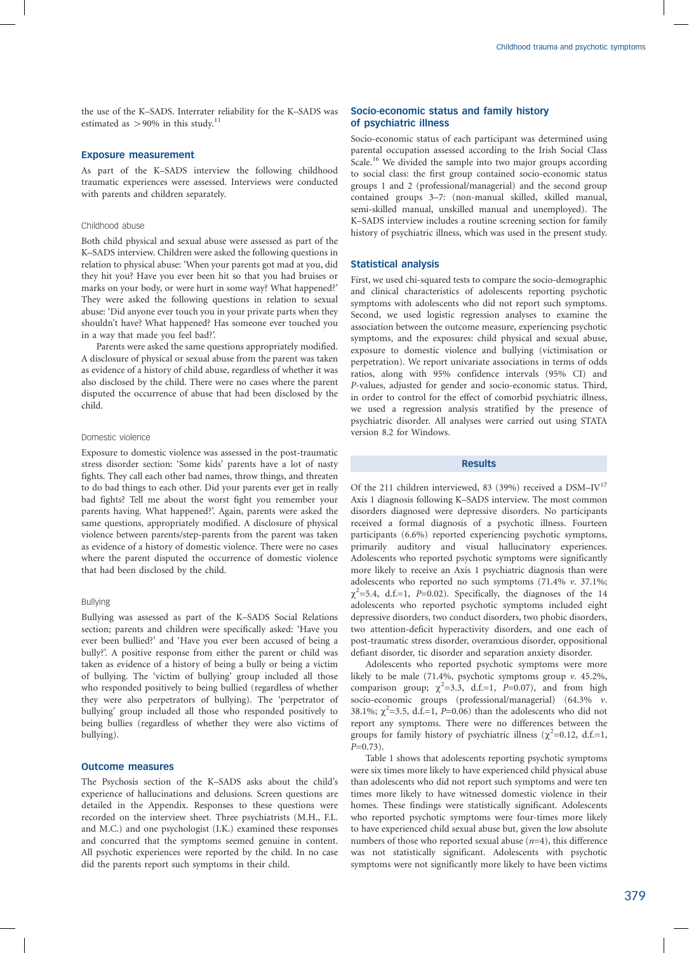the use of the K–SADS. Interrater reliability for the K–SADS was estimated as  $>90\%$  in this study.<sup>11</sup>

## Exposure measurement

As part of the K–SADS interview the following childhood traumatic experiences were assessed. Interviews were conducted with parents and children separately.

#### Childhood abuse

Both child physical and sexual abuse were assessed as part of the K–SADS interview. Children were asked the following questions in relation to physical abuse: 'When your parents got mad at you, did they hit you? Have you ever been hit so that you had bruises or marks on your body, or were hurt in some way? What happened?' They were asked the following questions in relation to sexual abuse: 'Did anyone ever touch you in your private parts when they shouldn't have? What happened? Has someone ever touched you in a way that made you feel bad?'.

Parents were asked the same questions appropriately modified. A disclosure of physical or sexual abuse from the parent was taken as evidence of a history of child abuse, regardless of whether it was also disclosed by the child. There were no cases where the parent disputed the occurrence of abuse that had been disclosed by the child.

#### Domestic violence

Exposure to domestic violence was assessed in the post-traumatic stress disorder section: 'Some kids' parents have a lot of nasty fights. They call each other bad names, throw things, and threaten to do bad things to each other. Did your parents ever get in really bad fights? Tell me about the worst fight you remember your parents having. What happened?'. Again, parents were asked the same questions, appropriately modified. A disclosure of physical violence between parents/step-parents from the parent was taken as evidence of a history of domestic violence. There were no cases where the parent disputed the occurrence of domestic violence that had been disclosed by the child.

#### Bullying

Bullying was assessed as part of the K–SADS Social Relations section; parents and children were specifically asked: 'Have you ever been bullied?' and 'Have you ever been accused of being a bully?'. A positive response from either the parent or child was taken as evidence of a history of being a bully or being a victim of bullying. The 'victim of bullying' group included all those who responded positively to being bullied (regardless of whether they were also perpetrators of bullying). The 'perpetrator of bullying' group included all those who responded positively to being bullies (regardless of whether they were also victims of bullying).

## Outcome measures

The Psychosis section of the K–SADS asks about the child's experience of hallucinations and delusions. Screen questions are detailed in the Appendix. Responses to these questions were recorded on the interview sheet. Three psychiatrists (M.H., F.L. and M.C.) and one psychologist (I.K.) examined these responses and concurred that the symptoms seemed genuine in content. All psychotic experiences were reported by the child. In no case did the parents report such symptoms in their child.

# Socio-economic status and family history of psychiatric illness

Socio-economic status of each participant was determined using parental occupation assessed according to the Irish Social Class Scale.<sup>16</sup> We divided the sample into two major groups according to social class: the first group contained socio-economic status groups 1 and 2 (professional/managerial) and the second group contained groups 3–7: (non-manual skilled, skilled manual, semi-skilled manual, unskilled manual and unemployed). The K–SADS interview includes a routine screening section for family history of psychiatric illness, which was used in the present study.

## Statistical analysis

First, we used chi-squared tests to compare the socio-demographic and clinical characteristics of adolescents reporting psychotic symptoms with adolescents who did not report such symptoms. Second, we used logistic regression analyses to examine the association between the outcome measure, experiencing psychotic symptoms, and the exposures: child physical and sexual abuse, exposure to domestic violence and bullying (victimisation or perpetration). We report univariate associations in terms of odds ratios, along with 95% confidence intervals (95% CI) and P-values, adjusted for gender and socio-economic status. Third, in order to control for the effect of comorbid psychiatric illness, we used a regression analysis stratified by the presence of psychiatric disorder. All analyses were carried out using STATA version 8.2 for Windows.

# Results

Of the 211 children interviewed, 83 (39%) received a  $DSM-IV<sup>17</sup>$ Axis 1 diagnosis following K–SADS interview. The most common disorders diagnosed were depressive disorders. No participants received a formal diagnosis of a psychotic illness. Fourteen participants (6.6%) reported experiencing psychotic symptoms, primarily auditory and visual hallucinatory experiences. Adolescents who reported psychotic symptoms were significantly more likely to receive an Axis 1 psychiatric diagnosis than were adolescents who reported no such symptoms (71.4% v. 37.1%;  $\chi^2$ =5.4, d.f.=1, P=0.02). Specifically, the diagnoses of the 14 adolescents who reported psychotic symptoms included eight depressive disorders, two conduct disorders, two phobic disorders, two attention-deficit hyperactivity disorders, and one each of post-traumatic stress disorder, overanxious disorder, oppositional defiant disorder, tic disorder and separation anxiety disorder.

Adolescents who reported psychotic symptoms were more likely to be male (71.4%, psychotic symptoms group  $v$ . 45.2%, comparison group;  $\chi^2$ =3.3, d.f.=1, P=0.07), and from high socio-economic groups (professional/managerial) (64.3% v. 38.1%;  $\chi^2$ =3.5, d.f.=1, P=0.06) than the adolescents who did not report any symptoms. There were no differences between the groups for family history of psychiatric illness ( $\chi^2$ =0.12, d.f.=1,  $P=0.73$ ).

Table 1 shows that adolescents reporting psychotic symptoms were six times more likely to have experienced child physical abuse than adolescents who did not report such symptoms and were ten times more likely to have witnessed domestic violence in their homes. These findings were statistically significant. Adolescents who reported psychotic symptoms were four-times more likely to have experienced child sexual abuse but, given the low absolute numbers of those who reported sexual abuse  $(n=4)$ , this difference was not statistically significant. Adolescents with psychotic symptoms were not significantly more likely to have been victims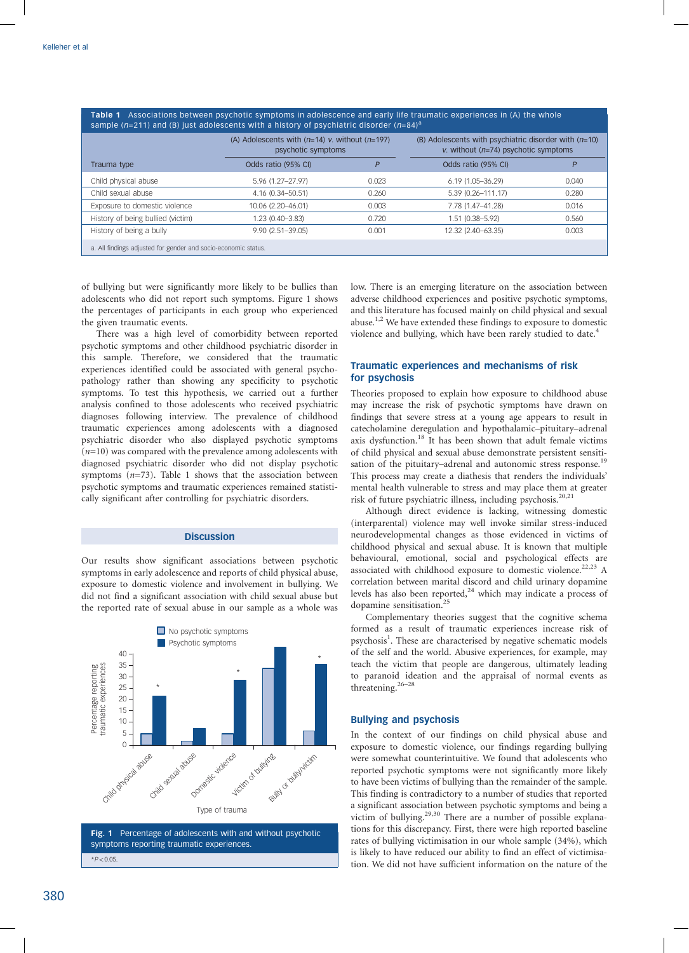Table 1 Associations between psychotic symptoms in adolescence and early life traumatic experiences in (A) the whole sample ( $n=211$ ) and (B) just adolescents with a history of psychiatric disorder ( $n=84$ )<sup>a</sup>

|                                                                | (A) Adolescents with $(n=14)$ v. without $(n=197)$<br>psychotic symptoms |       | (B) Adolescents with psychiatric disorder with $(n=10)$<br>v. without $(n=74)$ psychotic symptoms |       |
|----------------------------------------------------------------|--------------------------------------------------------------------------|-------|---------------------------------------------------------------------------------------------------|-------|
| Trauma type                                                    | Odds ratio (95% CI)                                                      | P     | Odds ratio (95% CI)                                                                               | P     |
| Child physical abuse                                           | 5.96 (1.27-27.97)                                                        | 0.023 | $6.19(1.05 - 36.29)$                                                                              | 0.040 |
| Child sexual abuse                                             | 4.16 (0.34-50.51)                                                        | 0.260 | $5.39(0.26 - 111.17)$                                                                             | 0.280 |
| Exposure to domestic violence                                  | 10.06 (2.20-46.01)                                                       | 0.003 | 7.78 (1.47-41.28)                                                                                 | 0.016 |
| History of being bullied (victim)                              | 1.23 (0.40–3.83)                                                         | 0.720 | $1.51(0.38 - 5.92)$                                                                               | 0.560 |
| History of being a bully                                       | $9.90(2.51 - 39.05)$                                                     | 0.001 | 12.32 (2.40-63.35)                                                                                | 0.003 |
| a. All findings adjusted for gender and socio-economic status. |                                                                          |       |                                                                                                   |       |

of bullying but were significantly more likely to be bullies than adolescents who did not report such symptoms. Figure 1 shows the percentages of participants in each group who experienced the given traumatic events.

There was a high level of comorbidity between reported psychotic symptoms and other childhood psychiatric disorder in this sample. Therefore, we considered that the traumatic experiences identified could be associated with general psychopathology rather than showing any specificity to psychotic symptoms. To test this hypothesis, we carried out a further analysis confined to those adolescents who received psychiatric diagnoses following interview. The prevalence of childhood traumatic experiences among adolescents with a diagnosed psychiatric disorder who also displayed psychotic symptoms  $(n=10)$  was compared with the prevalence among adolescents with diagnosed psychiatric disorder who did not display psychotic symptoms  $(n=73)$ . Table 1 shows that the association between psychotic symptoms and traumatic experiences remained statistically significant after controlling for psychiatric disorders.

# **Discussion**

Our results show significant associations between psychotic symptoms in early adolescence and reports of child physical abuse, exposure to domestic violence and involvement in bullying. We did not find a significant association with child sexual abuse but the reported rate of sexual abuse in our sample as a whole was



low. There is an emerging literature on the association between adverse childhood experiences and positive psychotic symptoms, and this literature has focused mainly on child physical and sexual abuse.1,2 We have extended these findings to exposure to domestic violence and bullying, which have been rarely studied to date.<sup>4</sup>

# Traumatic experiences and mechanisms of risk for psychosis

Theories proposed to explain how exposure to childhood abuse may increase the risk of psychotic symptoms have drawn on findings that severe stress at a young age appears to result in catecholamine deregulation and hypothalamic–pituitary–adrenal axis dysfunction.<sup>18</sup> It has been shown that adult female victims of child physical and sexual abuse demonstrate persistent sensitisation of the pituitary-adrenal and autonomic stress response.<sup>19</sup> This process may create a diathesis that renders the individuals' mental health vulnerable to stress and may place them at greater risk of future psychiatric illness, including psychosis.20,21

Although direct evidence is lacking, witnessing domestic (interparental) violence may well invoke similar stress-induced neurodevelopmental changes as those evidenced in victims of childhood physical and sexual abuse. It is known that multiple behavioural, emotional, social and psychological effects are associated with childhood exposure to domestic violence.<sup>22,23</sup> A correlation between marital discord and child urinary dopamine levels has also been reported, $24$  which may indicate a process of dopamine sensitisation.<sup>25</sup>

Complementary theories suggest that the cognitive schema formed as a result of traumatic experiences increase risk of psychosis<sup>1</sup>. These are characterised by negative schematic models of the self and the world. Abusive experiences, for example, may teach the victim that people are dangerous, ultimately leading to paranoid ideation and the appraisal of normal events as threatening.26–28

## Bullying and psychosis

In the context of our findings on child physical abuse and exposure to domestic violence, our findings regarding bullying were somewhat counterintuitive. We found that adolescents who reported psychotic symptoms were not significantly more likely to have been victims of bullying than the remainder of the sample. This finding is contradictory to a number of studies that reported a significant association between psychotic symptoms and being a victim of bullying.<sup>29,30</sup> There are a number of possible explanations for this discrepancy. First, there were high reported baseline rates of bullying victimisation in our whole sample (34%), which is likely to have reduced our ability to find an effect of victimisation. We did not have sufficient information on the nature of the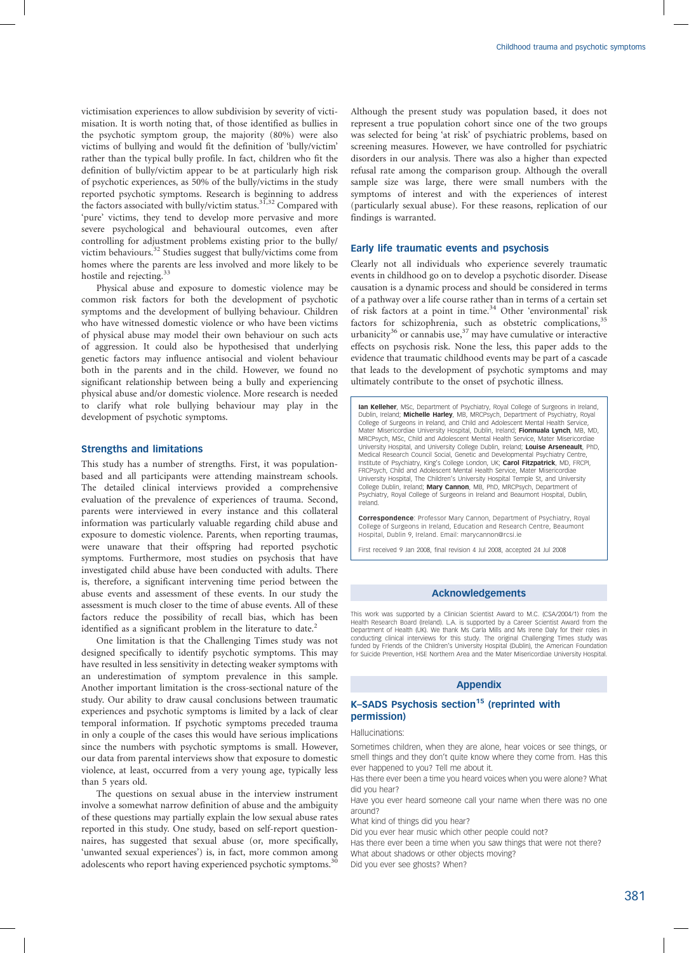victimisation experiences to allow subdivision by severity of victimisation. It is worth noting that, of those identified as bullies in the psychotic symptom group, the majority (80%) were also victims of bullying and would fit the definition of 'bully/victim' rather than the typical bully profile. In fact, children who fit the definition of bully/victim appear to be at particularly high risk of psychotic experiences, as 50% of the bully/victims in the study reported psychotic symptoms. Research is beginning to address the factors associated with bully/victim status.<sup>31,32</sup> Compared with 'pure' victims, they tend to develop more pervasive and more severe psychological and behavioural outcomes, even after controlling for adjustment problems existing prior to the bully/ victim behaviours.<sup>32</sup> Studies suggest that bully/victims come from homes where the parents are less involved and more likely to be hostile and rejecting.<sup>33</sup>

Physical abuse and exposure to domestic violence may be common risk factors for both the development of psychotic symptoms and the development of bullying behaviour. Children who have witnessed domestic violence or who have been victims of physical abuse may model their own behaviour on such acts of aggression. It could also be hypothesised that underlying genetic factors may influence antisocial and violent behaviour both in the parents and in the child. However, we found no significant relationship between being a bully and experiencing physical abuse and/or domestic violence. More research is needed to clarify what role bullying behaviour may play in the development of psychotic symptoms.

## Strengths and limitations

This study has a number of strengths. First, it was populationbased and all participants were attending mainstream schools. The detailed clinical interviews provided a comprehensive evaluation of the prevalence of experiences of trauma. Second, parents were interviewed in every instance and this collateral information was particularly valuable regarding child abuse and exposure to domestic violence. Parents, when reporting traumas, were unaware that their offspring had reported psychotic symptoms. Furthermore, most studies on psychosis that have investigated child abuse have been conducted with adults. There is, therefore, a significant intervening time period between the abuse events and assessment of these events. In our study the assessment is much closer to the time of abuse events. All of these factors reduce the possibility of recall bias, which has been identified as a significant problem in the literature to date.<sup>2</sup>

One limitation is that the Challenging Times study was not designed specifically to identify psychotic symptoms. This may have resulted in less sensitivity in detecting weaker symptoms with an underestimation of symptom prevalence in this sample. Another important limitation is the cross-sectional nature of the study. Our ability to draw causal conclusions between traumatic experiences and psychotic symptoms is limited by a lack of clear temporal information. If psychotic symptoms preceded trauma in only a couple of the cases this would have serious implications since the numbers with psychotic symptoms is small. However, our data from parental interviews show that exposure to domestic violence, at least, occurred from a very young age, typically less than 5 years old.

The questions on sexual abuse in the interview instrument involve a somewhat narrow definition of abuse and the ambiguity of these questions may partially explain the low sexual abuse rates reported in this study. One study, based on self-report questionnaires, has suggested that sexual abuse (or, more specifically, 'unwanted sexual experiences') is, in fact, more common among adolescents who report having experienced psychotic symptoms.<sup>30</sup>

Although the present study was population based, it does not represent a true population cohort since one of the two groups was selected for being 'at risk' of psychiatric problems, based on screening measures. However, we have controlled for psychiatric disorders in our analysis. There was also a higher than expected refusal rate among the comparison group. Although the overall sample size was large, there were small numbers with the symptoms of interest and with the experiences of interest (particularly sexual abuse). For these reasons, replication of our findings is warranted.

#### Early life traumatic events and psychosis

Clearly not all individuals who experience severely traumatic events in childhood go on to develop a psychotic disorder. Disease causation is a dynamic process and should be considered in terms of a pathway over a life course rather than in terms of a certain set of risk factors at a point in time.<sup>34</sup> Other 'environmental' risk factors for schizophrenia, such as obstetric complications,<sup>35</sup> urbanicity<sup>36</sup> or cannabis use,  $37$  may have cumulative or interactive effects on psychosis risk. None the less, this paper adds to the evidence that traumatic childhood events may be part of a cascade that leads to the development of psychotic symptoms and may ultimately contribute to the onset of psychotic illness.

Ian Kelleher, MSc, Department of Psychiatry, Royal College of Surgeons in Ireland, Dublin, Ireland; Michelle Harley, MB, MRCPsych, Department of Psychiatry, Royal College of Surgeons in Ireland, and Child and Adolescent Mental Health Service, Mater Misericordiae University Hospital, Dublin, Ireland; Fionnuala Lynch, MB, MD, MRCPsych, MSc, Child and Adolescent Mental Health Service, Mater Misericordiae University Hospital, and University College Dublin, Ireland; Louise Arseneault, PhD, Medical Research Council Social, Genetic and Developmental Psychiatry Centre, Institute of Psychiatry, King's College London, UK; Carol Fitzpatrick, MD, FRCPI, FRCPsych, Child and Adolescent Mental Health Service, Mater Misericordiae University Hospital, The Children's University Hospital Temple St, and University College Dublin, Ireland; Mary Cannon, MB, PhD, MRCPsych, Department of Psychiatry, Royal College of Surgeons in Ireland and Beaumont Hospital, Dublin, Ireland.

Correspondence: Professor Mary Cannon, Department of Psychiatry, Royal College of Surgeons in Ireland, Education and Research Centre, Beaumont Hospital, Dublin 9, Ireland. Email: marycannon@rcsi.ie

First received 9 Jan 2008, final revision 4 Jul 2008, accepted 24 Jul 2008

# Acknowledgements

This work was supported by a Clinician Scientist Award to M.C. (CSA/2004/1) from the Health Research Board (Ireland). L.A. is supported by a Career Scientist Award from the Department of Health (UK). We thank Ms Carla Mills and Ms Irene Daly for their roles in conducting clinical interviews for this study. The original Challenging Times study was funded by Friends of the Children's University Hospital (Dublin), the American Foundation for Suicide Prevention, HSE Northern Area and the Mater Misericordiae University Hospital.

## Appendix

# K-SADS Psychosis section<sup>15</sup> (reprinted with permission)

Hallucinations:

Sometimes children, when they are alone, hear voices or see things, or smell things and they don't quite know where they come from. Has this ever happened to you? Tell me about it.

Has there ever been a time you heard voices when you were alone? What did you hear?

Have you ever heard someone call your name when there was no one around?

What kind of things did you hear?

Did you ever hear music which other people could not?

Has there ever been a time when you saw things that were not there? What about shadows or other objects moving?

Did you ever see ghosts? When?